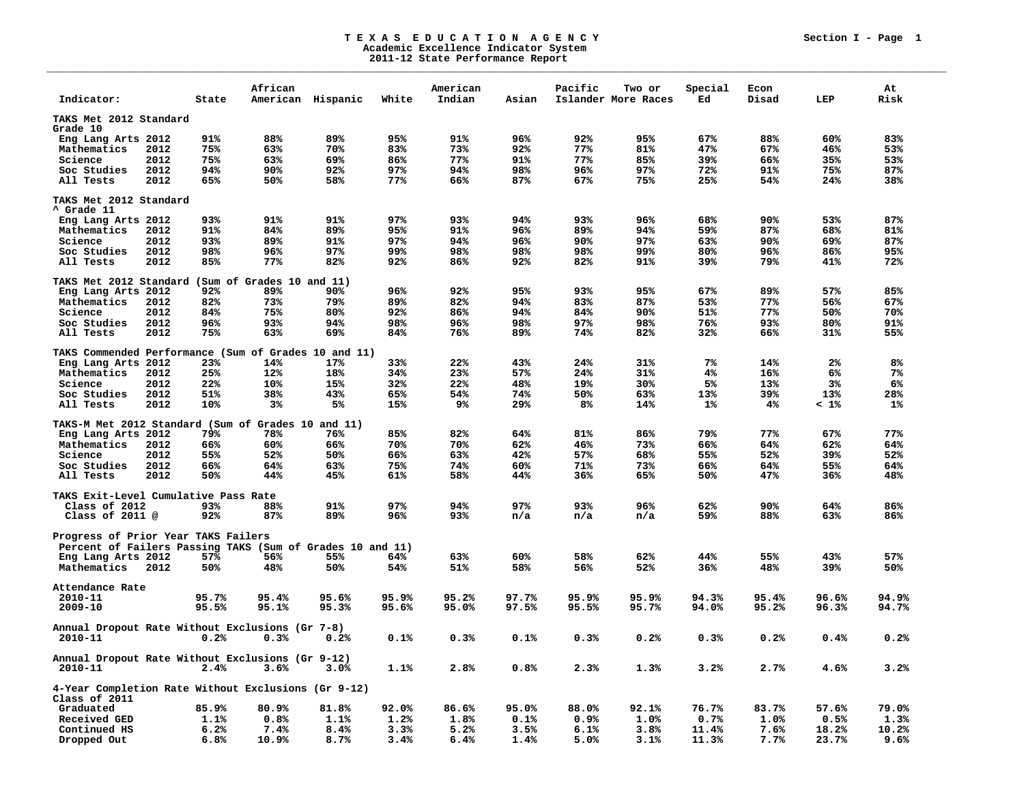# **T E X A S E D U C A T I O N A G E N C Y Section I - Page 1 Academic Excellence Indicator System 2011-12 State Performance Report**

**\_\_\_\_\_\_\_\_\_\_\_\_\_\_\_\_\_\_\_\_\_\_\_\_\_\_\_\_\_\_\_\_\_\_\_\_\_\_\_\_\_\_\_\_\_\_\_\_\_\_\_\_\_\_\_\_\_\_\_\_\_\_\_\_\_\_\_\_\_\_\_\_\_\_\_\_\_\_\_\_\_\_\_\_\_\_\_\_\_\_\_\_\_\_\_\_\_\_\_\_\_\_\_\_\_\_\_\_\_\_\_\_\_\_\_\_\_\_\_\_\_\_\_\_\_\_\_\_\_\_\_\_\_\_\_\_\_\_\_\_\_\_\_\_\_** 

|                                                                      |      |       | African           |       |       | American |       | Pacific | Two or              | Special        | Econ  |                | At             |
|----------------------------------------------------------------------|------|-------|-------------------|-------|-------|----------|-------|---------|---------------------|----------------|-------|----------------|----------------|
| Indicator:                                                           |      | State | American Hispanic |       | White | Indian   | Asian |         | Islander More Races | Ed             | Disad | LEP            | Risk           |
| TAKS Met 2012 Standard<br>Grade 10                                   |      |       |                   |       |       |          |       |         |                     |                |       |                |                |
| Eng Lang Arts 2012                                                   |      | 91%   | 88%               | 89%   | 95%   | 91%      | 96%   | 92%     | 95%                 | 67%            | 88%   | 60%            | 83%            |
| Mathematics                                                          | 2012 | 75%   | 63%               | 70%   | 83%   | 73%      | 92%   | 77%     | 81%                 | 47%            | 67%   | 46%            | 53%            |
| Science                                                              | 2012 | 75%   | 63%               | 69%   | 86%   | 77%      | 91%   | 77%     | 85%                 | 39%            | 66%   | 35%            | 53%            |
| Soc Studies                                                          | 2012 | 94%   | 90%               | 92%   | 97%   | 94%      | 98%   | 96%     | 97%                 | 72%            | 91%   | 75%            | 87%            |
| All Tests                                                            | 2012 | 65%   | 50%               | 58%   | 77%   | 66%      | 87%   | 67%     | 75%                 | 25%            | 54%   | 24%            | 38%            |
| TAKS Met 2012 Standard<br>$^{\wedge}$ Grade 11                       |      |       |                   |       |       |          |       |         |                     |                |       |                |                |
| Eng Lang Arts 2012                                                   |      | 93%   | 91%               | 91%   | 97%   | 93%      | 94%   | 93%     | 96%                 | 68%            | 90%   | 53%            | 87%            |
| Mathematics                                                          | 2012 | 91%   | 84%               | 89%   | 95%   | 91%      | 96%   | 89%     | 94%                 | 59%            | 87%   | 68%            | 81%            |
| Science                                                              | 2012 | 93%   | 89%               | 91%   | 97%   | 94%      | 96%   | 90%     | 97%                 | 63%            | 90%   | 69%            | 87%            |
| Soc Studies                                                          | 2012 | 98%   | 96%               | 97%   | 99%   | 98%      | 98%   | 98%     | 99%                 | 80%            | 96%   | 86%            | 95%            |
| All Tests                                                            | 2012 | 85%   | 77%               | 82%   | 92%   | 86%      | 92%   | 82%     | 91%                 | 39%            | 79%   | 41%            | 72%            |
| TAKS Met 2012 Standard (Sum of Grades 10 and 11)                     |      |       |                   |       |       |          |       |         |                     |                |       |                |                |
| Eng Lang Arts 2012                                                   |      | 92%   | 89%               | 90%   | 96%   | 92%      | 95%   | 93%     | 95%                 | 67%            | 89%   | 57%            | 85%            |
| Mathematics                                                          | 2012 | 82%   | 73%               | 79%   | 89%   | 82%      | 94%   | 83%     | 87%                 | 53%            | 77%   | 56%            | 67%            |
| Science                                                              | 2012 | 84%   | 75%               | 80%   | 92%   | 86%      | 94%   | 84%     | 90%                 | 51%            | 77%   | 50%            | 70%            |
| Soc Studies                                                          | 2012 | 96%   | 93%               | 94%   | 98%   | 96%      | 98%   | 97%     | 98%                 | 76%            | 93%   | 80%            | 91%            |
| All Tests                                                            | 2012 | 75%   | 63%               | 69%   | 84%   | 76%      | 89%   | 74%     | 82%                 | 32%            | 66%   | 31%            | 55%            |
|                                                                      |      |       |                   |       |       |          |       |         |                     |                |       |                |                |
| TAKS Commended Performance (Sum of Grades 10 and                     |      |       |                   | -11)  |       |          |       |         |                     |                |       |                |                |
| Eng Lang Arts 2012                                                   |      | 23%   | 14%               | 17%   | 33%   | 22%      | 43%   | 24%     | 31%                 | 7 <sup>°</sup> | 14%   | 2 <sup>°</sup> | 8 <sup>°</sup> |
| Mathematics                                                          | 2012 | 25%   | 12%               | 18%   | 34%   | 23%      | 57%   | 24%     | 31%                 | 4%             | 16%   | 6%             | $7\%$          |
| Science                                                              | 2012 | 22%   | 10%               | 15%   | 32%   | 22%      | 48%   | 19%     | 30%                 | 5%             | 13%   | 3%             | 6%             |
| Soc Studies                                                          | 2012 | 51%   | 38%               | 43%   | 65%   | 54%      | 74%   | 50%     | 63%                 | 13%            | 39%   | 13%            | 28%            |
| All Tests                                                            | 2012 | 10%   | $3\%$             | 5%    | 15%   | 9%       | 29%   | 8%      | 14%                 | $1\%$          | 4%    | $< 1\%$        | 1 <sup>°</sup> |
| TAKS-M Met 2012 Standard (Sum of Grades 10 and 11)                   |      |       |                   |       |       |          |       |         |                     |                |       |                |                |
| Eng Lang Arts 2012                                                   |      | 79%   | 78%               | 76%   | 85%   | 82%      | 64%   | 81%     | 86%                 | 79%            | 77%   | 67%            | 77%            |
| Mathematics                                                          | 2012 | 66%   | 60%               | 66%   | 70%   | 70%      | 62%   | 46%     | 73%                 | 66%            | 64%   | 62%            | 64%            |
| Science                                                              | 2012 | 55%   | 52%               | 50%   | 66%   | 63%      | 42%   | 57%     | 68%                 | 55%            | 52%   | 39%            | 52%            |
| Soc Studies                                                          | 2012 | 66%   | 64%               | 63%   | 75%   | 74%      | 60%   | 71%     | 73%                 | 66%            | 64%   | 55%            | 64%            |
| All Tests                                                            | 2012 | 50%   | 44%               | 45%   | 61%   | 58%      | 44%   | 36%     | 65%                 | 50%            | 47%   | 36%            | 48%            |
| TAKS Exit-Level Cumulative Pass Rate                                 |      |       |                   |       |       |          |       |         |                     |                |       |                |                |
| Class of 2012                                                        |      | 93%   | 88%               | 91%   | 97%   | 94%      | 97%   | 93%     | 96%                 | 62%            | 90%   | 64%            | 86%            |
| Class of $2011$ $@$                                                  |      | 92%   | 87%               | 89%   | 96%   | 93%      | n/a   | n/a     | n/a                 | 59%            | 88%   | 63%            | 86%            |
| Progress of Prior Year TAKS Failers                                  |      |       |                   |       |       |          |       |         |                     |                |       |                |                |
| Percent of Failers Passing TAKS (Sum of Grades 10 and 11)            |      |       |                   |       |       |          |       |         |                     |                |       |                |                |
| Eng Lang Arts 2012                                                   |      | 57%   | 56%               | 55%   | 64%   | 63%      | 60%   | 58%     | 62%                 | 44%            | 55%   | 43%            | 57%            |
| Mathematics                                                          | 2012 | 50%   | 48%               | 50%   | 54%   | 51%      | 58%   | 56%     | 52%                 | 36%            | 48%   | 39%            | 50%            |
| Attendance Rate                                                      |      |       |                   |       |       |          |       |         |                     |                |       |                |                |
| 2010-11                                                              |      | 95.7% | 95.4%             | 95.6% | 95.9% | 95.2%    | 97.7% | 95.9%   | 95.9%               | 94.3%          | 95.4% | 96.6%          | 94.9%          |
| $2009 - 10$                                                          |      | 95.5% | 95.1%             | 95.3% | 95.6% | 95.0%    | 97.5% | 95.5%   | 95.7%               | 94.0%          | 95.2% | 96.3%          | 94.7%          |
| Annual Dropout Rate Without Exclusions (Gr 7-8)                      |      |       |                   |       |       |          |       |         |                     |                |       |                |                |
| 2010-11                                                              |      | 0.2%  | 0.3%              | 0.2%  | 0.1%  | 0.3%     | 0.1%  | 0.3%    | 0.2%                | 0.3%           | 0.2%  | 0.4%           | 0.2%           |
| Annual Dropout Rate Without Exclusions (Gr 9-12)                     |      |       |                   |       |       |          |       |         |                     |                |       |                |                |
| 2010-11                                                              |      | 2.4%  | 3.6%              | 3.0%  | 1.1%  | 2.8%     | 0.8%  | 2.3%    | 1.3%                | 3.2%           | 2.7%  | 4.6%           | 3.2%           |
|                                                                      |      |       |                   |       |       |          |       |         |                     |                |       |                |                |
| 4-Year Completion Rate Without Exclusions (Gr 9-12)<br>Class of 2011 |      |       |                   |       |       |          |       |         |                     |                |       |                |                |
| Graduated                                                            |      | 85.9% | 80.9%             | 81.8% | 92.0% | 86.6%    | 95.0% | 88.0%   | 92.1%               | 76.7%          | 83.7% | 57.6%          | 79.0%          |
| Received GED                                                         |      | 1.1%  | 0.8%              | 1.1%  | 1.2%  | 1.8%     | 0.1%  | 0.9%    | 1.0%                | 0.7%           | 1.0%  | 0.5%           | 1.3%           |
| Continued HS                                                         |      | 6.2%  | 7.4%              | 8.4%  | 3.3%  | 5.2%     | 3.5%  | 6.1%    | 3.8%                | 11.4%          | 7.6%  | 18.2%          | 10.2%          |
| Dropped Out                                                          |      | 6.8%  | 10.9%             | 8.7%  | 3.4%  | 6.4%     | 1.4%  | 5.0%    | 3.1%                | 11.3%          | 7.7%  | 23.7%          | 9.6%           |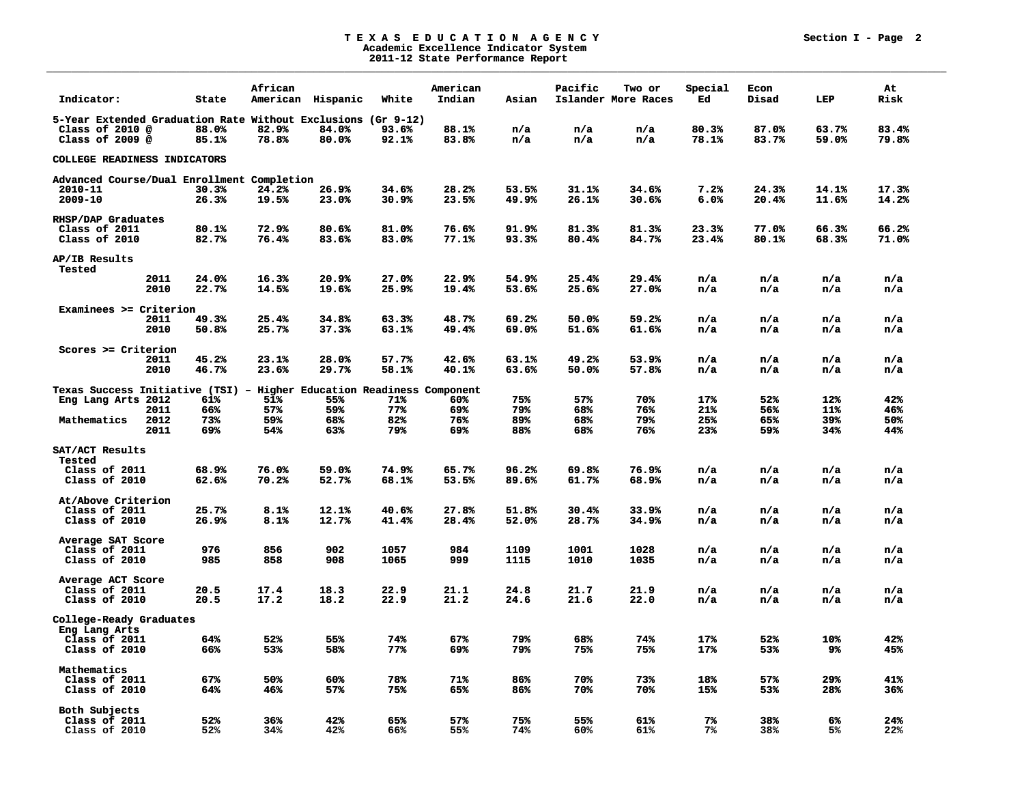# **T E X A S E D U C A T I O N A G E N C Y Section I - Page 2 Academic Excellence Indicator System 2011-12 State Performance Report**

**\_\_\_\_\_\_\_\_\_\_\_\_\_\_\_\_\_\_\_\_\_\_\_\_\_\_\_\_\_\_\_\_\_\_\_\_\_\_\_\_\_\_\_\_\_\_\_\_\_\_\_\_\_\_\_\_\_\_\_\_\_\_\_\_\_\_\_\_\_\_\_\_\_\_\_\_\_\_\_\_\_\_\_\_\_\_\_\_\_\_\_\_\_\_\_\_\_\_\_\_\_\_\_\_\_\_\_\_\_\_\_\_\_\_\_\_\_\_\_\_\_\_\_\_\_\_\_\_\_\_\_\_\_\_\_\_\_\_\_\_\_\_\_\_\_** 

| Indicator:                                                                                                 |              | State          | African        | American Hispanic | White          | American<br>Indian | Asian          | Pacific        | Two or<br>Islander More Races | Special<br>Ed  | Econ<br>Disad  | LEP            | At<br>Risk     |
|------------------------------------------------------------------------------------------------------------|--------------|----------------|----------------|-------------------|----------------|--------------------|----------------|----------------|-------------------------------|----------------|----------------|----------------|----------------|
| 5-Year Extended Graduation Rate Without Exclusions (Gr 9-12)<br>Class of $2010$ $@$<br>Class of $2009$ $@$ |              | 88.0%<br>85.1% | 82.9%<br>78.8% | 84.0%<br>80.0%    | 93.6%<br>92.1% | 88.1%<br>83.8%     | n/a<br>n/a     | n/a<br>n/a     | n/a<br>n/a                    | 80.3%<br>78.1% | 87.0%<br>83.7% | 63.7%<br>59.0% | 83.4%<br>79.8% |
| COLLEGE READINESS INDICATORS                                                                               |              |                |                |                   |                |                    |                |                |                               |                |                |                |                |
| Advanced Course/Dual Enrollment Completion                                                                 |              |                |                |                   |                |                    |                |                |                               |                |                |                |                |
| 2010-11<br>2009-10                                                                                         |              | 30.3%<br>26.3% | 24.2%<br>19.5% | 26.9%<br>23.0%    | 34.6%<br>30.9% | 28.2%<br>23.5%     | 53.5%<br>49.9% | 31.1%<br>26.1% | 34.6%<br>30.6%                | 7.2%<br>6.0%   | 24.3%<br>20.4% | 14.1%<br>11.6% | 17.3%<br>14.2% |
| RHSP/DAP Graduates<br>Class of 2011<br>Class of 2010                                                       |              | 80.1%<br>82.7% | 72.9%<br>76.4% | 80.6%<br>83.6%    | 81.0%<br>83.0% | 76.6%<br>77.1%     | 91.9%<br>93.3% | 81.3%<br>80.4% | 81.3%<br>84.7%                | 23.3%<br>23.4% | 77.0%<br>80.1% | 66.3%<br>68.3% | 66.2%<br>71.0% |
| AP/IB Results<br>Tested                                                                                    |              |                |                |                   |                |                    |                |                |                               |                |                |                |                |
|                                                                                                            | 2011<br>2010 | 24.0%<br>22.7% | 16.3%<br>14.5% | 20.9%<br>19.6%    | 27.0%<br>25.9% | 22.9%<br>19.4%     | 54.9%<br>53.6% | 25.4%<br>25.6% | 29.4%<br>27.0%                | n/a<br>n/a     | n/a<br>n/a     | n/a<br>n/a     | n/a<br>n/a     |
| Examinees >= Criterion                                                                                     |              |                |                |                   |                |                    |                |                |                               |                |                |                |                |
|                                                                                                            | 2011<br>2010 | 49.3%<br>50.8% | 25.4%<br>25.7% | 34.8%<br>37.3%    | 63.3%<br>63.1% | 48.7%<br>49.4%     | 69.2%<br>69.0% | 50.0%<br>51.6% | 59.2%<br>61.6%                | n/a<br>n/a     | n/a<br>n/a     | n/a<br>n/a     | n/a<br>n/a     |
| Scores >= Criterion                                                                                        |              |                |                |                   |                |                    |                |                |                               |                |                |                |                |
|                                                                                                            | 2011<br>2010 | 45.2%<br>46.7% | 23.1%<br>23.6% | 28.0%<br>29.7%    | 57.7%<br>58.1% | 42.6%<br>40.1%     | 63.1%<br>63.6% | 49.2%<br>50.0% | 53.9%<br>57.8%                | n/a<br>n/a     | n/a<br>n/a     | n/a<br>n/a     | n/a<br>n/a     |
| Texas Success Initiative (TSI) - Higher Education Readiness Component                                      |              |                |                |                   |                |                    |                |                |                               |                |                |                |                |
| Eng Lang Arts 2012                                                                                         |              | 61%<br>66%     | 51%<br>57%     | 55%<br>59%        | 71%<br>77%     | 60%<br>69%         | 75%<br>79%     | 57%<br>68%     | 70%<br>76%                    | 17%<br>21%     | 52%<br>56%     | 12%<br>11%     | 42%<br>46%     |
| Mathematics                                                                                                | 2011<br>2012 | 73%            | 59%            | 68%               | 82%            | 76%                | 89%            | 68%            | 79%                           | 25%            | 65%            | 39%            | 50%            |
|                                                                                                            | 2011         | 69%            | 54%            | 63%               | 79%            | 69%                | 88%            | 68%            | 76%                           | 23%            | 59%            | 34%            | 44%            |
| SAT/ACT Results<br>Tested                                                                                  |              |                |                |                   |                |                    |                |                |                               |                |                |                |                |
| Class of 2011                                                                                              |              | 68.9%          | 76.0%          | 59.0%             | 74.9%          | 65.7%              | 96.2%          | 69.8%          | 76.9%                         | n/a            | n/a            | n/a            | n/a            |
| Class of 2010                                                                                              |              | 62.6%          | 70.2%          | 52.7%             | 68.1%          | 53.5%              | 89.6%          | 61.7%          | 68.9%                         | n/a            | n/a            | n/a            | n/a            |
| At/Above Criterion                                                                                         |              |                |                |                   |                |                    |                |                |                               |                |                |                |                |
| Class of 2011<br>Class of 2010                                                                             |              | 25.7%<br>26.9% | 8.1%<br>8.1%   | 12.1%<br>12.7%    | 40.6%<br>41.4% | 27.8%<br>28.4%     | 51.8%<br>52.0% | 30.4%<br>28.7% | 33.9%<br>34.9%                | n/a<br>n/a     | n/a<br>n/a     | n/a<br>n/a     | n/a<br>n/a     |
|                                                                                                            |              |                |                |                   |                |                    |                |                |                               |                |                |                |                |
| Average SAT Score<br>Class of 2011                                                                         |              | 976            | 856            | 902               | 1057           | 984                | 1109           | 1001           | 1028                          | n/a            | n/a            | n/a            | n/a            |
| Class of 2010                                                                                              |              | 985            | 858            | 908               | 1065           | 999                | 1115           | 1010           | 1035                          | n/a            | n/a            | n/a            | n/a            |
| Average ACT Score                                                                                          |              |                |                |                   |                |                    |                |                |                               |                |                |                |                |
| Class of 2011<br>Class of 2010                                                                             |              | 20.5<br>20.5   | 17.4<br>17.2   | 18.3<br>18.2      | 22.9<br>22.9   | 21.1<br>21.2       | 24.8<br>24.6   | 21.7<br>21.6   | 21.9<br>22.0                  | n/a<br>n/a     | n/a<br>n/a     | n/a<br>n/a     | n/a<br>n/a     |
|                                                                                                            |              |                |                |                   |                |                    |                |                |                               |                |                |                |                |
| College-Ready Graduates<br>Eng Lang Arts                                                                   |              |                |                |                   |                |                    |                |                |                               |                |                |                |                |
| Class of 2011                                                                                              |              | 64%            | 52%            | 55%               | 74%            | 67%                | 79%            | 68%            | 74%                           | 17%            | 52%            | 10%            | 42%            |
| Class of 2010                                                                                              |              | 66%            | 53%            | 58%               | 77%            | 69%                | 79%            | 75%            | 75%                           | 17%            | 53%            | 9%             | 45%            |
| Mathematics                                                                                                |              |                |                |                   |                |                    |                |                |                               |                |                |                |                |
| Class of 2011<br>Class of 2010                                                                             |              | 67%<br>64%     | 50%<br>46%     | 60%<br>57%        | 78%<br>75%     | 71%<br>65%         | 86%<br>86%     | 70%<br>70%     | 73%<br>70%                    | 18%<br>15%     | 57%<br>53%     | 29%<br>28%     | 41%<br>36%     |
|                                                                                                            |              |                |                |                   |                |                    |                |                |                               |                |                |                |                |
| Both Subjects<br>Class of 2011                                                                             |              | 52%            | 36%            | 42%               | 65%            | 57%                | 75%            | 55%            | 61%                           | 7%             | 38%            | 6%             | 24%            |
| Class of 2010                                                                                              |              | 52%            | 34%            | 42%               | 66%            | 55%                | 74%            | 60%            | 61%                           | 7%             | 38%            | 5%             | 22%            |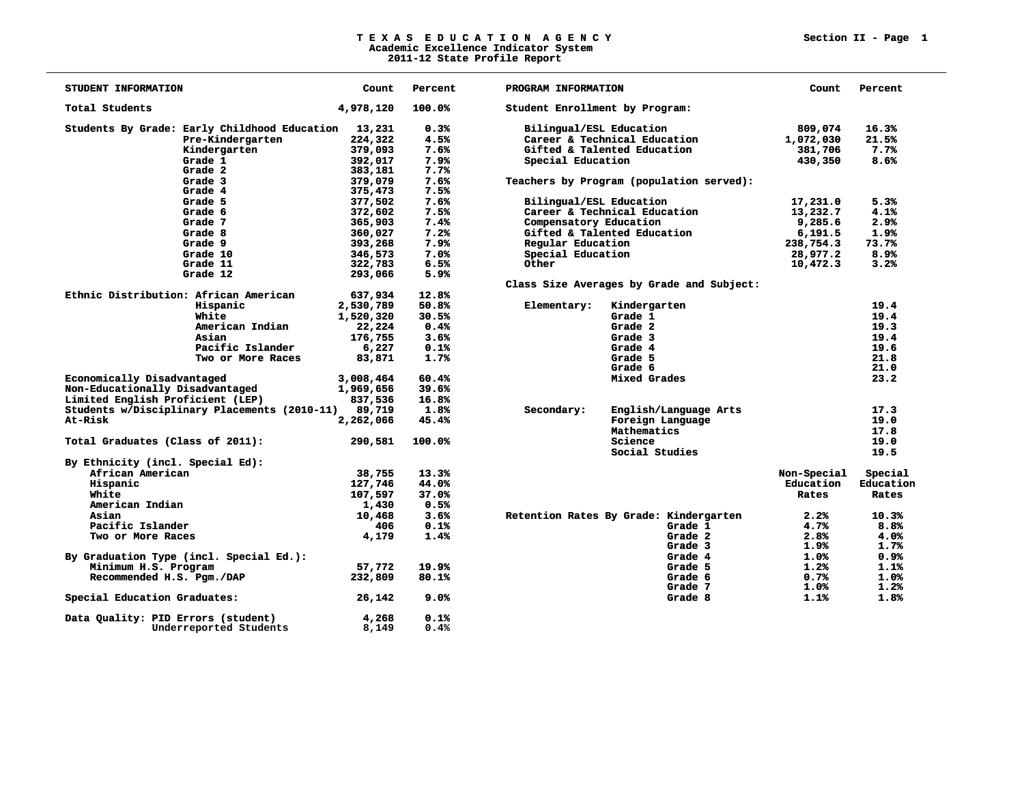#### **T E X A S E D U C A T I O N A G E N C Y Section II - Page 1 Academic Excellence Indicator System 2011-12 State Profile Report \_\_\_\_\_\_\_\_\_\_\_\_\_\_\_\_\_\_\_\_\_\_\_\_\_\_\_\_\_\_\_\_\_\_\_\_\_\_\_\_\_\_\_\_\_\_\_\_\_\_\_\_\_\_\_\_\_\_\_\_\_\_\_\_\_\_\_\_\_\_\_\_\_\_\_\_\_\_\_\_\_\_\_\_\_\_\_\_\_\_\_\_\_\_\_\_\_\_\_\_\_\_\_\_\_\_\_\_\_\_\_\_\_\_\_\_\_\_\_\_\_\_\_\_\_\_\_\_\_\_\_\_\_\_\_\_\_\_\_\_\_\_\_\_\_**

| STUDENT INFORMATION                                          | Count     | Percent | PROGRAM INFORMATION            |                                           | Count       | Percent   |
|--------------------------------------------------------------|-----------|---------|--------------------------------|-------------------------------------------|-------------|-----------|
| Total Students                                               | 4,978,120 | 100.0%  | Student Enrollment by Program: |                                           |             |           |
| Students By Grade: Early Childhood Education                 | 13,231    | 0.3%    | Bilingual/ESL Education        |                                           | 809,074     | 16.3%     |
| Pre-Kindergarten                                             | 224,322   | 4.5%    |                                | Career & Technical Education              | 1,072,030   | 21.5%     |
| Kindergarten                                                 | 379,093   | 7.6%    |                                | Gifted & Talented Education               | 381,706     | 7.7%      |
| Grade 1                                                      | 392,017   | 7.9%    | Special Education              |                                           | 430,350     | 8.6%      |
| Grade 2                                                      | 383,181   | 7.7%    |                                |                                           |             |           |
| Grade 3                                                      | 379,079   | 7.6%    |                                | Teachers by Program (population served):  |             |           |
| Grade 4                                                      | 375,473   | 7.5%    |                                |                                           |             |           |
| Grade 5                                                      | 377,502   | 7.6%    | Bilingual/ESL Education        |                                           | 17,231.0    | 5.3%      |
| Grade 6                                                      | 372,602   | 7.5%    |                                | Career & Technical Education              | 13,232.7    | 4.1%      |
| Grade 7                                                      | 365,903   | 7.4%    | Compensatory Education         |                                           | 9,285.6     | 2.9%      |
| Grade 8                                                      | 360,027   | 7.2%    |                                | Gifted & Talented Education               | 6,191.5     | 1.9%      |
| Grade 9                                                      | 393,268   | 7.9%    | Regular Education              |                                           | 238,754.3   | 73.7%     |
| Grade 10                                                     | 346,573   | 7.0%    | Special Education              |                                           | 28,977.2    | 8.9%      |
| Grade 11                                                     | 322,783   | 6.5%    | Other                          |                                           | 10,472.3    | 3.2%      |
| Grade 12                                                     | 293,066   | 5.9%    |                                |                                           |             |           |
|                                                              |           |         |                                | Class Size Averages by Grade and Subject: |             |           |
| Ethnic Distribution: African American                        | 637,934   | 12.8%   |                                |                                           |             |           |
| Hispanic                                                     | 2,530,789 | 50.8%   | Elementary:                    | Kindergarten                              |             | 19.4      |
| White                                                        | 1,520,320 | 30.5%   |                                | Grade 1                                   |             | 19.4      |
| American Indian                                              | 22,224    | 0.4%    |                                | Grade 2                                   |             | 19.3      |
| Asian                                                        | 176,755   | 3.6%    |                                | Grade 3                                   |             | 19.4      |
| Pacific Islander                                             | 6,227     | 0.1%    |                                | Grade 4                                   |             | 19.6      |
| Two or More Races                                            | 83,871    | 1.7%    |                                | Grade 5                                   |             | 21.8      |
|                                                              |           |         |                                | Grade 6                                   |             | 21.0      |
| Economically Disadvantaged                                   | 3,008,464 | 60.4%   |                                | Mixed Grades                              |             | 23.2      |
| Non-Educationally Disadvantaged                              | 1,969,656 | 39.6%   |                                |                                           |             |           |
| Limited English Proficient (LEP)                             | 837,536   | 16.8%   |                                |                                           |             |           |
| Students w/Disciplinary Placements (2010-11) 89,719          |           | 1.8%    | Secondary:                     | English/Language Arts                     |             | 17.3      |
| At-Risk                                                      | 2,262,066 | 45.4%   |                                | Foreign Language                          |             | 19.0      |
|                                                              |           |         |                                | Mathematics                               |             | 17.8      |
| Total Graduates (Class of 2011):                             | 290,581   | 100.0%  |                                | Science                                   |             | 19.0      |
|                                                              |           |         |                                | Social Studies                            |             | 19.5      |
| By Ethnicity (incl. Special Ed):                             |           |         |                                |                                           |             |           |
| African American                                             | 38,755    | 13.3%   |                                |                                           | Non-Special | Special   |
| Hispanic                                                     | 127,746   | 44.0%   |                                |                                           | Education   | Education |
| White                                                        | 107,597   | 37.0%   |                                |                                           | Rates       | Rates     |
| American Indian                                              | 1,430     | 0.5%    |                                |                                           |             |           |
| Asian                                                        | 10,468    | 3.6%    |                                | Retention Rates By Grade: Kindergarten    | 2.2%        | 10.3%     |
| Pacific Islander                                             | 406       | 0.1%    |                                | Grade 1                                   | 4.7%        | 8.8%      |
| Two or More Races                                            | 4,179     | 1.4%    |                                | Grade 2                                   | 2.8%        | 4.0%      |
|                                                              |           |         |                                | Grade 3                                   | 1.9%        | 1.7%      |
| By Graduation Type (incl. Special Ed.):                      |           |         |                                | Grade 4                                   | 1.0%        | 0.9%      |
| Minimum H.S. Program                                         | 57,772    | 19.9%   |                                | Grade 5                                   | 1.2%        | 1.1%      |
| Recommended H.S. Pqm./DAP                                    | 232,809   | 80.1%   |                                | Grade 6                                   | 0.7%        | 1.0%      |
|                                                              |           |         |                                | Grade 7                                   | 1.0%        | 1.2%      |
| Special Education Graduates:                                 | 26,142    | 9.0%    |                                | Grade 8                                   | 1.1%        | 1.8%      |
|                                                              |           | 0.1%    |                                |                                           |             |           |
| Data Quality: PID Errors (student)<br>Underreported Students | 4,268     | 0.4%    |                                |                                           |             |           |
|                                                              | 8,149     |         |                                |                                           |             |           |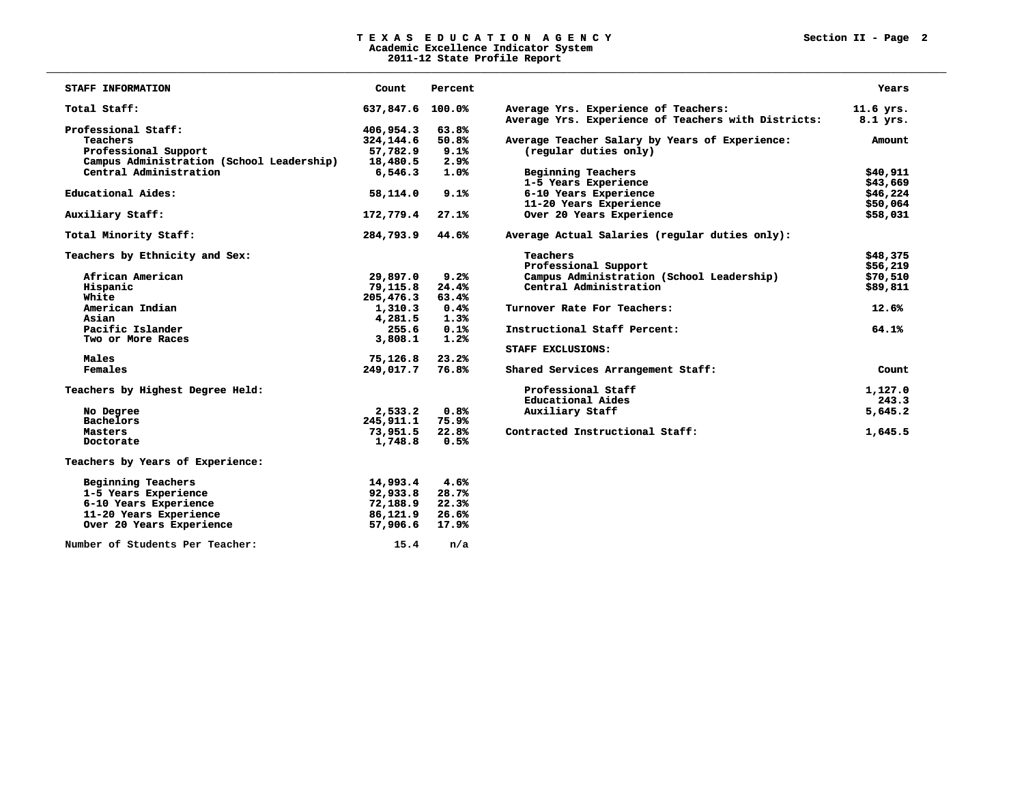### **T E X A S E D U C A T I O N A G E N C Y Section II - Page 2 Academic Excellence Indicator System 2011-12 State Profile Report**

**\_\_\_\_\_\_\_\_\_\_\_\_\_\_\_\_\_\_\_\_\_\_\_\_\_\_\_\_\_\_\_\_\_\_\_\_\_\_\_\_\_\_\_\_\_\_\_\_\_\_\_\_\_\_\_\_\_\_\_\_\_\_\_\_\_\_\_\_\_\_\_\_\_\_\_\_\_\_\_\_\_\_\_\_\_\_\_\_\_\_\_\_\_\_\_\_\_\_\_\_\_\_\_\_\_\_\_\_\_\_\_\_\_\_\_\_\_\_\_\_\_\_\_\_\_\_\_\_\_\_\_\_\_\_\_\_\_\_\_\_\_\_\_\_\_** 

| STAFF INFORMATION                         | Count            | Percent |                                                                                             | Years                     |
|-------------------------------------------|------------------|---------|---------------------------------------------------------------------------------------------|---------------------------|
| Total Staff:                              | 637,847.6 100.0% |         | Average Yrs. Experience of Teachers:<br>Average Yrs. Experience of Teachers with Districts: | $11.6$ yrs.<br>$8.1$ yrs. |
| Professional Staff:                       | 406,954.3        | 63.8%   |                                                                                             |                           |
| Teachers                                  | 324, 144.6       | 50.8%   | Average Teacher Salary by Years of Experience:                                              | Amount                    |
| Professional Support                      | 57,782.9         | 9.1%    | (regular duties only)                                                                       |                           |
| Campus Administration (School Leadership) | 18,480.5         | 2.9%    |                                                                                             |                           |
| Central Administration                    | 6,546.3          | 1.0%    | Beginning Teachers                                                                          | \$40,911                  |
|                                           |                  |         | 1-5 Years Experience                                                                        | \$43,669                  |
| Educational Aides:                        | 58,114.0         | 9.1%    | 6-10 Years Experience                                                                       | \$46,224                  |
|                                           |                  |         | 11-20 Years Experience                                                                      | \$50,064                  |
| Auxiliary Staff:                          | 172,779.4        | 27.1%   | Over 20 Years Experience                                                                    | \$58,031                  |
| Total Minority Staff:                     | 284,793.9        | 44.6%   | Average Actual Salaries (regular duties only):                                              |                           |
| Teachers by Ethnicity and Sex:            |                  |         | Teachers                                                                                    | \$48,375                  |
|                                           |                  |         | Professional Support                                                                        | \$56,219                  |
| African American                          | 29,897.0         | 9.2%    | Campus Administration (School Leadership)                                                   | \$70,510                  |
| Hispanic                                  | 79,115.8         | 24.4%   | Central Administration                                                                      | \$89,811                  |
| White                                     | 205, 476.3       | 63.4%   |                                                                                             |                           |
| American Indian                           | 1,310.3          | 0.4%    | Turnover Rate For Teachers:                                                                 | 12.6%                     |
| Asian                                     | 4,281.5          | 1.3%    |                                                                                             |                           |
| Pacific Islander                          | 255.6            | 0.1%    | Instructional Staff Percent:                                                                | 64.1%                     |
| Two or More Races                         | 3,808.1          | 1.2%    |                                                                                             |                           |
|                                           |                  |         | <b>STAFF EXCLUSIONS:</b>                                                                    |                           |
| Males                                     | 75,126.8         | 23.2%   |                                                                                             |                           |
| Females                                   | 249,017.7        | 76.8%   | Shared Services Arrangement Staff:                                                          | Count                     |
| Teachers by Highest Degree Held:          |                  |         | Professional Staff                                                                          | 1,127.0                   |
|                                           |                  |         | Educational Aides                                                                           | 243.3                     |
| No Degree                                 | 2,533.2          | 0.8%    | Auxiliary Staff                                                                             | 5,645.2                   |
| Bachelors                                 | 245,911.1        | 75.9%   |                                                                                             |                           |
| Masters                                   | 73,951.5         | 22.8%   | Contracted Instructional Staff:                                                             | 1,645.5                   |
| Doctorate                                 | 1,748.8          | 0.5%    |                                                                                             |                           |
| Teachers by Years of Experience:          |                  |         |                                                                                             |                           |
| Beginning Teachers                        | 14,993.4         | 4.6%    |                                                                                             |                           |
| 1-5 Years Experience                      | 92,933.8         | 28.7%   |                                                                                             |                           |
| 6-10 Years Experience                     | 72,188.9         | 22.3%   |                                                                                             |                           |
| 11-20 Years Experience                    | 86,121.9         | 26.6%   |                                                                                             |                           |
| Over 20 Years Experience                  | 57,906.6         | 17.9%   |                                                                                             |                           |

 **Number of Students Per Teacher: 15.4 n/a**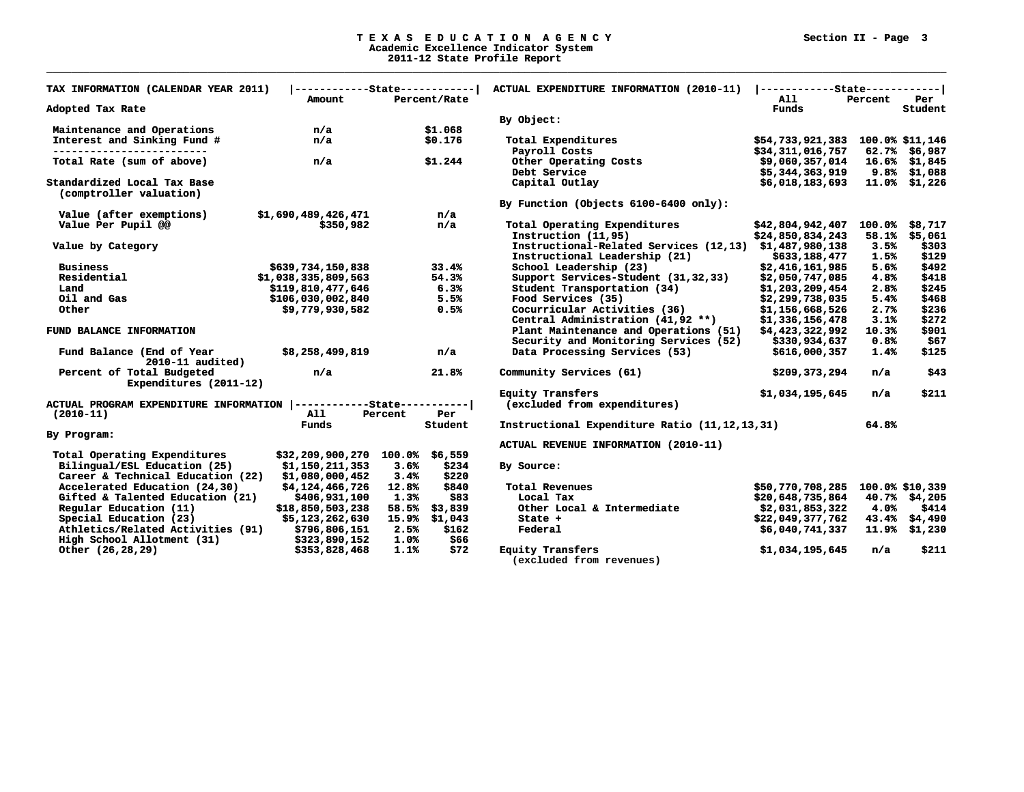### **T E X A S E D U C A T I O N A G E N C Y Section II - Page 3 Academic Excellence Indicator System 2011-12 State Profile Report**

**\_\_\_\_\_\_\_\_\_\_\_\_\_\_\_\_\_\_\_\_\_\_\_\_\_\_\_\_\_\_\_\_\_\_\_\_\_\_\_\_\_\_\_\_\_\_\_\_\_\_\_\_\_\_\_\_\_\_\_\_\_\_\_\_\_\_\_\_\_\_\_\_\_\_\_\_\_\_\_\_\_\_\_\_\_\_\_\_\_\_\_\_\_\_\_\_\_\_\_\_\_\_\_\_\_\_\_\_\_\_\_\_\_\_\_\_\_\_\_\_\_\_\_\_\_\_\_\_\_\_\_\_\_\_\_\_\_\_\_\_\_\_\_\_\_** 

| TAX INFORMATION (CALENDAR YEAR 2011)                                                  | Amount                           | ------------State------------ <br>Percent/Rate | <b>ACTUAL EXPENDITURE INFORMATION (2010-11)</b>        | -------------State------------<br>A11 | Per<br>Percent  |
|---------------------------------------------------------------------------------------|----------------------------------|------------------------------------------------|--------------------------------------------------------|---------------------------------------|-----------------|
| Adopted Tax Rate                                                                      |                                  |                                                |                                                        | Funds                                 | Student         |
|                                                                                       |                                  |                                                | By Object:                                             |                                       |                 |
| Maintenance and Operations                                                            | n/a                              | \$1.068                                        |                                                        |                                       |                 |
| Interest and Sinking Fund #                                                           | n/a                              | \$0.176                                        | Total Expenditures                                     | \$54,733,921,383 100.0% \$11,146      |                 |
| -------------------------                                                             |                                  |                                                | Payroll Costs                                          | \$34,311,016,757                      | $62.7%$ \$6,987 |
| Total Rate (sum of above)                                                             | n/a                              | \$1.244                                        | Other Operating Costs                                  | \$9,060,357,014                       | $16.6%$ \$1,845 |
|                                                                                       |                                  |                                                | Debt Service                                           | \$5,344,363,919                       | $9.8%$ \$1,088  |
| Standardized Local Tax Base<br>(comptroller valuation)                                |                                  |                                                | Capital Outlay                                         | \$6,018,183,693                       | $11.0%$ \$1,226 |
|                                                                                       |                                  |                                                | By Function (Objects 6100-6400 only):                  |                                       |                 |
| Value (after exemptions)                                                              | \$1,690,489,426,471              | n/a                                            |                                                        |                                       |                 |
| Value Per Pupil @@                                                                    | \$350,982                        | n/a                                            |                                                        |                                       | \$8,717         |
|                                                                                       |                                  |                                                | Total Operating Expenditures                           | \$42,804,942,407 100.0%               |                 |
|                                                                                       |                                  |                                                | Instruction (11,95)                                    | \$24,850,834,243                      | 58.1% \$5,061   |
| Value by Category                                                                     |                                  |                                                | Instructional-Related Services (12,13) \$1,487,980,138 |                                       | 3.5%<br>\$303   |
|                                                                                       |                                  |                                                | Instructional Leadership (21)                          | \$633,188,477                         | \$129<br>1.5%   |
| <b>Business</b>                                                                       | \$639,734,150,838                | 33.4%                                          | School Leadership (23)                                 | \$2,416,161,985                       | \$492<br>5.6%   |
| Residential                                                                           | \$1,038,335,809,563              | 54.3%                                          | Support Services-Student (31,32,33)                    | \$2,050,747,085                       | 4.8%<br>\$418   |
| Land                                                                                  | \$119,810,477,646                | 6.3%                                           | Student Transportation (34)                            | \$1,203,209,454                       | \$245<br>2.8%   |
| Oil and Gas                                                                           | \$106,030,002,840                | 5.5%                                           | Food Services (35)                                     | \$2,299,738,035                       | 5.4%<br>\$468   |
| Other                                                                                 | \$9,779,930,582                  | 0.5%                                           | Cocurricular Activities (36)                           | \$1,156,668,526                       | 2.7%<br>\$236   |
|                                                                                       |                                  |                                                | Central Administration (41,92 **)                      | \$1,336,156,478                       | \$272<br>3.1%   |
| FUND BALANCE INFORMATION                                                              |                                  |                                                | Plant Maintenance and Operations (51)                  | \$4,423,322,992                       | \$901<br>10.3%  |
|                                                                                       |                                  |                                                | Security and Monitoring Services (52)                  | \$330,934,637                         | 0.8%<br>\$67    |
| Fund Balance (End of Year<br>$2010 - 11$ audited)                                     | \$8,258,499,819                  | n/a                                            | Data Processing Services (53)                          | \$616,000,357                         | \$125<br>1.4%   |
| Percent of Total Budgeted                                                             | n/a                              | 21.8%                                          | Community Services (61)                                | \$209,373,294                         | \$43<br>n/a     |
| Expenditures (2011-12)                                                                |                                  |                                                |                                                        |                                       |                 |
|                                                                                       |                                  |                                                | Equity Transfers                                       | \$1,034,195,645                       | \$211<br>n/a    |
| ACTUAL PROGRAM EXPENDITURE INFORMATION  ------------State---------- <br>$(2010 - 11)$ | A11                              | Percent<br>Per                                 | (excluded from expenditures)                           |                                       |                 |
|                                                                                       | Funds                            | Student                                        | Instructional Expenditure Ratio (11,12,13,31)          |                                       | 64.8%           |
| By Program:                                                                           |                                  |                                                |                                                        |                                       |                 |
|                                                                                       |                                  |                                                | <b>ACTUAL REVENUE INFORMATION (2010-11)</b>            |                                       |                 |
| Total Operating Expenditures                                                          | $$32,209,900,270$ 100.0% \$6,559 |                                                |                                                        |                                       |                 |
| Bilingual/ESL Education (25)                                                          | \$1,150,211,353                  | 3.6%<br>\$234                                  | By Source:                                             |                                       |                 |
| Career & Technical Education (22)                                                     | \$1,080,000,452                  | \$220<br>3.4%                                  |                                                        |                                       |                 |
| Accelerated Education (24,30)                                                         | \$4,124,466,726                  | \$840<br>12.8%                                 | <b>Total Revenues</b>                                  | \$50,770,708,285 100.0% \$10,339      |                 |
| Gifted & Talented Education (21)                                                      | \$406,931,100                    | 1.3%<br>\$83                                   | Local Tax                                              | \$20,648,735,864                      | $40.7%$ \$4,205 |
| Regular Education (11)                                                                | \$18,850,503,238                 | \$3,839<br>58.5%                               | Other Local & Intermediate                             | \$2,031,853,322                       | 4.0%<br>\$414   |
| Special Education (23)                                                                | \$5,123,262,630                  | 15.9%<br>\$1,043                               | State +                                                | \$22,049,377,762                      | $43.4%$ \$4,490 |
| Athletics/Related Activities (91)                                                     | \$796,806,151                    | \$162<br>2.5%                                  | Federal                                                | \$6,040,741,337                       | $11.9%$ \$1,230 |
| High School Allotment (31)                                                            | \$323,890,152                    | \$66<br>1.0%                                   |                                                        |                                       |                 |
| Other (26,28,29)                                                                      | \$353,828,468                    | 1.1%<br>\$72                                   | Equity Transfers                                       | \$1,034,195,645                       | \$211<br>n/a    |
|                                                                                       |                                  |                                                | (excluded from revenues)                               |                                       |                 |